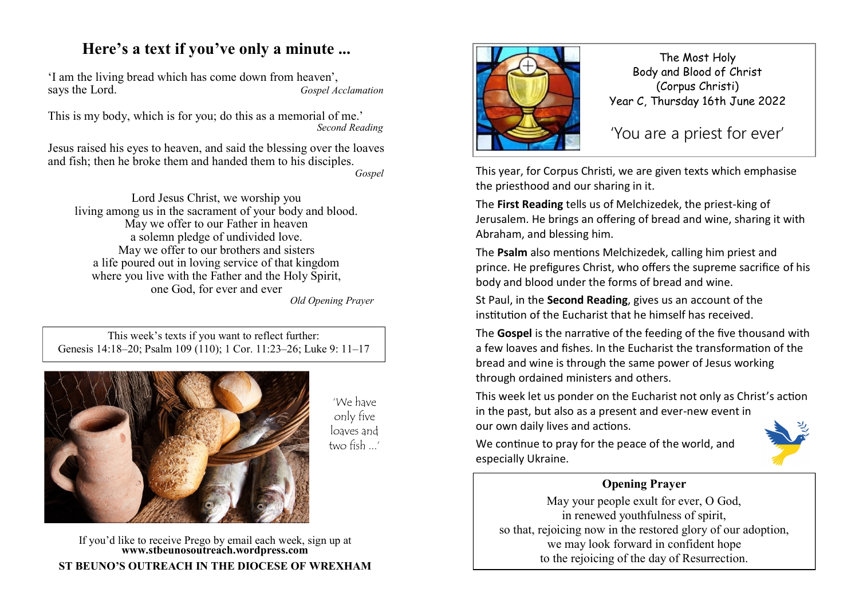## **Here's a text if you've only a minute ...**

'I am the living bread which has come down from heaven', Gospel Acclamation

This is my body, which is for you; do this as a memorial of me.' *Second Reading*

Jesus raised his eyes to heaven, and said the blessing over the loaves and fish; then he broke them and handed them to his disciples. *Gospel*

Lord Jesus Christ, we worship you living among us in the sacrament of your body and blood. May we offer to our Father in heaven a solemn pledge of undivided love. May we offer to our brothers and sisters a life poured out in loving service of that kingdom where you live with the Father and the Holy Spirit, one God, for ever and ever *Old Opening Prayer* 

This week's texts if you want to reflect further: Genesis 14:18–20; Psalm 109 (110); 1 Cor. 11:23–26; Luke 9: 11–17



'We have only five loaves and two fish ...'

If you'd like to receive Prego by email each week, sign up at **www.stbeunosoutreach.wordpress.com ST BEUNO'S OUTREACH IN THE DIOCESE OF WREXHAM**



The Most Holy Body and Blood of Christ (Corpus Christi) Year C, Thursday 16th June 2022

'You are a priest for ever'

This year, for Corpus Christi, we are given texts which emphasise the priesthood and our sharing in it.

The **First Reading** tells us of Melchizedek, the priest-king of Jerusalem. He brings an offering of bread and wine, sharing it with Abraham, and blessing him.

The **Psalm** also mentions Melchizedek, calling him priest and prince. He prefigures Christ, who offers the supreme sacrifice of his body and blood under the forms of bread and wine.

St Paul, in the **Second Reading**, gives us an account of the institution of the Eucharist that he himself has received.

The **Gospel** is the narrative of the feeding of the five thousand with a few loaves and fishes. In the Eucharist the transformation of the bread and wine is through the same power of Jesus working through ordained ministers and others.

This week let us ponder on the Eucharist not only as Christ's action in the past, but also as a present and ever-new event in our own daily lives and actions.

We continue to pray for the peace of the world, and especially Ukraine.



## **Opening Prayer**

May your people exult for ever, O God, in renewed youthfulness of spirit, so that, rejoicing now in the restored glory of our adoption, we may look forward in confident hope to the rejoicing of the day of Resurrection.